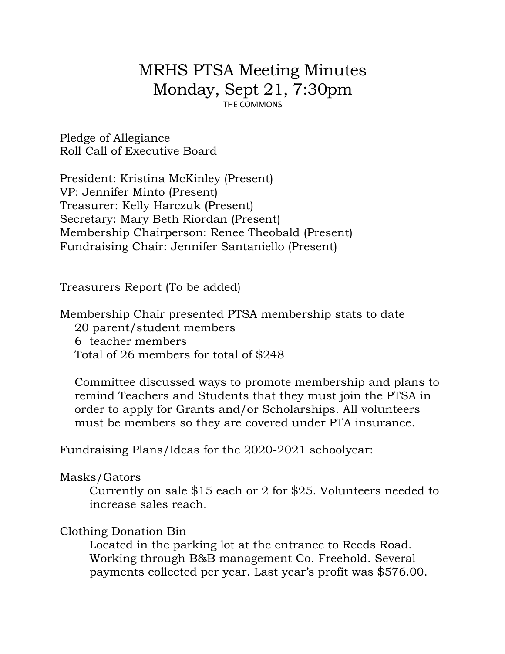# MRHS PTSA Meeting Minutes Monday, Sept 21, 7:30pm THE COMMONS

Pledge of Allegiance Roll Call of Executive Board

President: Kristina McKinley (Present) VP: Jennifer Minto (Present) Treasurer: Kelly Harczuk (Present) Secretary: Mary Beth Riordan (Present) Membership Chairperson: Renee Theobald (Present) Fundraising Chair: Jennifer Santaniello (Present)

Treasurers Report (To be added)

Membership Chair presented PTSA membership stats to date 20 parent/student members 6 teacher members Total of 26 members for total of \$248

Committee discussed ways to promote membership and plans to remind Teachers and Students that they must join the PTSA in order to apply for Grants and/or Scholarships. All volunteers must be members so they are covered under PTA insurance.

Fundraising Plans/Ideas for the 2020-2021 schoolyear:

Masks/Gators

Currently on sale \$15 each or 2 for \$25. Volunteers needed to increase sales reach.

#### Clothing Donation Bin

Located in the parking lot at the entrance to Reeds Road. Working through B&B management Co. Freehold. Several payments collected per year. Last year's profit was \$576.00.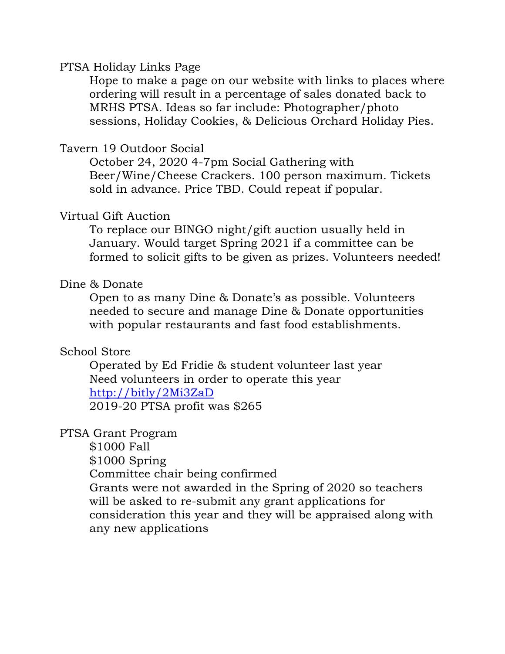#### PTSA Holiday Links Page

Hope to make a page on our website with links to places where ordering will result in a percentage of sales donated back to MRHS PTSA. Ideas so far include: Photographer/photo sessions, Holiday Cookies, & Delicious Orchard Holiday Pies.

## Tavern 19 Outdoor Social

October 24, 2020 4-7pm Social Gathering with Beer/Wine/Cheese Crackers. 100 person maximum. Tickets sold in advance. Price TBD. Could repeat if popular.

## Virtual Gift Auction

To replace our BINGO night/gift auction usually held in January. Would target Spring 2021 if a committee can be formed to solicit gifts to be given as prizes. Volunteers needed!

## Dine & Donate

Open to as many Dine & Donate's as possible. Volunteers needed to secure and manage Dine & Donate opportunities with popular restaurants and fast food establishments.

## School Store

Operated by Ed Fridie & student volunteer last year Need volunteers in order to operate this year http://bitly/2Mi3ZaD 2019-20 PTSA profit was \$265

## PTSA Grant Program

\$1000 Fall

\$1000 Spring

Committee chair being confirmed

Grants were not awarded in the Spring of 2020 so teachers will be asked to re-submit any grant applications for consideration this year and they will be appraised along with any new applications